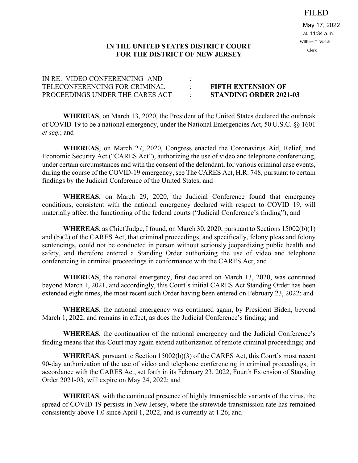FILED

May 17, 2022 11:34 a.m. At: William T. Walsh Clerk

## **IN THE UNITED STATES DISTRICT COURT FOR THE DISTRICT OF NEW JERSEY**

| IN RE: VIDEO CONFERENCING AND   |                               |
|---------------------------------|-------------------------------|
| TELECONFERENCING FOR CRIMINAL   | <b>FIFTH EXTENSION OF</b>     |
| PROCEEDINGS UNDER THE CARES ACT | <b>STANDING ORDER 2021-03</b> |

**WHEREAS**, on March 13, 2020, the President of the United States declared the outbreak of COVID-19 to be a national emergency, under the National Emergencies Act, 50 U.S.C. §§ 1601 *et seq.*; and

**WHEREAS**, on March 27, 2020, Congress enacted the Coronavirus Aid, Relief, and Economic Security Act ("CARES Act"), authorizing the use of video and telephone conferencing, under certain circumstances and with the consent of the defendant, for various criminal case events, during the course of the COVID-19 emergency, see The CARES Act, H.R. 748, pursuant to certain findings by the Judicial Conference of the United States; and

**WHEREAS**, on March 29, 2020, the Judicial Conference found that emergency conditions, consistent with the national emergency declared with respect to COVID–19, will materially affect the functioning of the federal courts ("Judicial Conference's finding"); and

**WHEREAS**, as Chief Judge, I found, on March 30, 2020, pursuant to Sections 15002(b)(1) and (b)(2) of the CARES Act, that criminal proceedings, and specifically, felony pleas and felony sentencings, could not be conducted in person without seriously jeopardizing public health and safety, and therefore entered a Standing Order authorizing the use of video and telephone conferencing in criminal proceedings in conformance with the CARES Act; and

**WHEREAS**, the national emergency, first declared on March 13, 2020, was continued beyond March 1, 2021, and accordingly, this Court's initial CARES Act Standing Order has been extended eight times, the most recent such Order having been entered on February 23, 2022; and

**WHEREAS**, the national emergency was continued again, by President Biden, beyond March 1, 2022, and remains in effect, as does the Judicial Conference's finding; and

**WHEREAS**, the continuation of the national emergency and the Judicial Conference's finding means that this Court may again extend authorization of remote criminal proceedings; and

**WHEREAS**, pursuant to Section 15002(b)(3) of the CARES Act, this Court's most recent 90-day authorization of the use of video and telephone conferencing in criminal proceedings, in accordance with the CARES Act, set forth in its February 23, 2022, Fourth Extension of Standing Order 2021-03, will expire on May 24, 2022; and

**WHEREAS**, with the continued presence of highly transmissible variants of the virus, the spread of COVID-19 persists in New Jersey, where the statewide transmission rate has remained consistently above 1.0 since April 1, 2022, and is currently at 1.26; and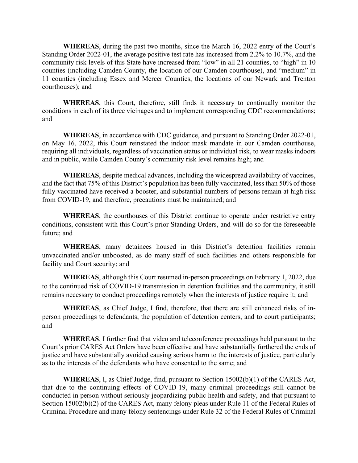**WHEREAS**, during the past two months, since the March 16, 2022 entry of the Court's Standing Order 2022-01, the average positive test rate has increased from 2.2% to 10.7%, and the community risk levels of this State have increased from "low" in all 21 counties, to "high" in 10 counties (including Camden County, the location of our Camden courthouse), and "medium" in 11 counties (including Essex and Mercer Counties, the locations of our Newark and Trenton courthouses); and

**WHEREAS**, this Court, therefore, still finds it necessary to continually monitor the conditions in each of its three vicinages and to implement corresponding CDC recommendations; and

**WHEREAS**, in accordance with CDC guidance, and pursuant to Standing Order 2022-01, on May 16, 2022, this Court reinstated the indoor mask mandate in our Camden courthouse, requiring all individuals, regardless of vaccination status or individual risk, to wear masks indoors and in public, while Camden County's community risk level remains high; and

**WHEREAS**, despite medical advances, including the widespread availability of vaccines, and the fact that 75% of this District's population has been fully vaccinated, less than 50% of those fully vaccinated have received a booster, and substantial numbers of persons remain at high risk from COVID-19, and therefore, precautions must be maintained; and

**WHEREAS**, the courthouses of this District continue to operate under restrictive entry conditions, consistent with this Court's prior Standing Orders, and will do so for the foreseeable future; and

**WHEREAS**, many detainees housed in this District's detention facilities remain unvaccinated and/or unboosted, as do many staff of such facilities and others responsible for facility and Court security; and

**WHEREAS**, although this Court resumed in-person proceedings on February 1, 2022, due to the continued risk of COVID-19 transmission in detention facilities and the community, it still remains necessary to conduct proceedings remotely when the interests of justice require it; and

**WHEREAS**, as Chief Judge, I find, therefore, that there are still enhanced risks of inperson proceedings to defendants, the population of detention centers, and to court participants; and

**WHEREAS**, I further find that video and teleconference proceedings held pursuant to the Court's prior CARES Act Orders have been effective and have substantially furthered the ends of justice and have substantially avoided causing serious harm to the interests of justice, particularly as to the interests of the defendants who have consented to the same; and

**WHEREAS**, I, as Chief Judge, find, pursuant to Section 15002(b)(1) of the CARES Act, that due to the continuing effects of COVID-19, many criminal proceedings still cannot be conducted in person without seriously jeopardizing public health and safety, and that pursuant to Section 15002(b)(2) of the CARES Act, many felony pleas under Rule 11 of the Federal Rules of Criminal Procedure and many felony sentencings under Rule 32 of the Federal Rules of Criminal